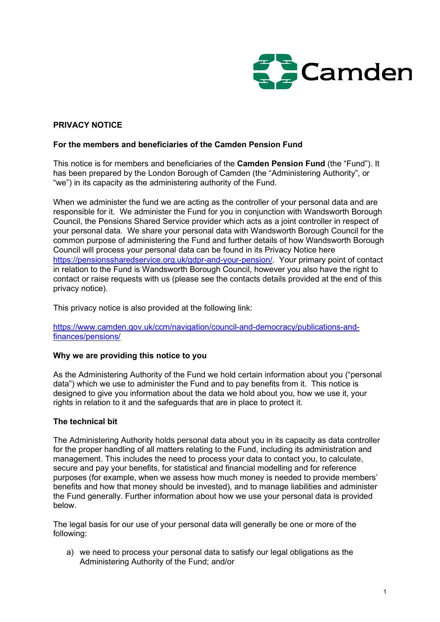

# PRIVACY NOTICE

## For the members and beneficiaries of the Camden Pension Fund

This notice is for members and beneficiaries of the Camden Pension Fund (the "Fund"). It has been prepared by the London Borough of Camden (the "Administering Authority", or "we") in its capacity as the administering authority of the Fund.

When we administer the fund we are acting as the controller of your personal data and are responsible for it. We administer the Fund for you in conjunction with Wandsworth Borough Council, the Pensions Shared Service provider which acts as a joint controller in respect of your personal data. We share your personal data with Wandsworth Borough Council for the common purpose of administering the Fund and further details of how Wandsworth Borough Council will process your personal data can be found in its Privacy Notice here https://pensionssharedservice.org.uk/gdpr-and-your-pension/. Your primary point of contact in relation to the Fund is Wandsworth Borough Council, however you also have the right to contact or raise requests with us (please see the contacts details provided at the end of this privacy notice).

This privacy notice is also provided at the following link:

https://www.camden.gov.uk/ccm/navigation/council-and-democracy/publications-andfinances/pensions/

### Why we are providing this notice to you

As the Administering Authority of the Fund we hold certain information about you ("personal data") which we use to administer the Fund and to pay benefits from it. This notice is designed to give you information about the data we hold about you, how we use it, your rights in relation to it and the safeguards that are in place to protect it.

### The technical bit

The Administering Authority holds personal data about you in its capacity as data controller for the proper handling of all matters relating to the Fund, including its administration and management. This includes the need to process your data to contact you, to calculate, secure and pay your benefits, for statistical and financial modelling and for reference purposes (for example, when we assess how much money is needed to provide members' benefits and how that money should be invested), and to manage liabilities and administer the Fund generally. Further information about how we use your personal data is provided below.

The legal basis for our use of your personal data will generally be one or more of the following:

a) we need to process your personal data to satisfy our legal obligations as the Administering Authority of the Fund; and/or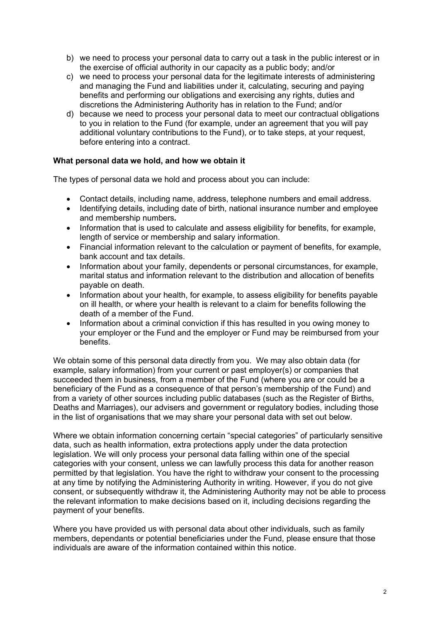- b) we need to process your personal data to carry out a task in the public interest or in the exercise of official authority in our capacity as a public body; and/or
- c) we need to process your personal data for the legitimate interests of administering and managing the Fund and liabilities under it, calculating, securing and paying benefits and performing our obligations and exercising any rights, duties and discretions the Administering Authority has in relation to the Fund; and/or
- d) because we need to process your personal data to meet our contractual obligations to you in relation to the Fund (for example, under an agreement that you will pay additional voluntary contributions to the Fund), or to take steps, at your request, before entering into a contract.

## What personal data we hold, and how we obtain it

The types of personal data we hold and process about you can include:

- Contact details, including name, address, telephone numbers and email address.
- Identifying details, including date of birth, national insurance number and employee and membership numbers.
- Information that is used to calculate and assess eligibility for benefits, for example, length of service or membership and salary information.
- Financial information relevant to the calculation or payment of benefits, for example, bank account and tax details.
- Information about your family, dependents or personal circumstances, for example, marital status and information relevant to the distribution and allocation of benefits payable on death.
- Information about your health, for example, to assess eligibility for benefits payable on ill health, or where your health is relevant to a claim for benefits following the death of a member of the Fund.
- Information about a criminal conviction if this has resulted in you owing money to your employer or the Fund and the employer or Fund may be reimbursed from your benefits.

We obtain some of this personal data directly from you. We may also obtain data (for example, salary information) from your current or past employer(s) or companies that succeeded them in business, from a member of the Fund (where you are or could be a beneficiary of the Fund as a consequence of that person's membership of the Fund) and from a variety of other sources including public databases (such as the Register of Births, Deaths and Marriages), our advisers and government or regulatory bodies, including those in the list of organisations that we may share your personal data with set out below.

Where we obtain information concerning certain "special categories" of particularly sensitive data, such as health information, extra protections apply under the data protection legislation. We will only process your personal data falling within one of the special categories with your consent, unless we can lawfully process this data for another reason permitted by that legislation. You have the right to withdraw your consent to the processing at any time by notifying the Administering Authority in writing. However, if you do not give consent, or subsequently withdraw it, the Administering Authority may not be able to process the relevant information to make decisions based on it, including decisions regarding the payment of your benefits.

Where you have provided us with personal data about other individuals, such as family members, dependants or potential beneficiaries under the Fund, please ensure that those individuals are aware of the information contained within this notice.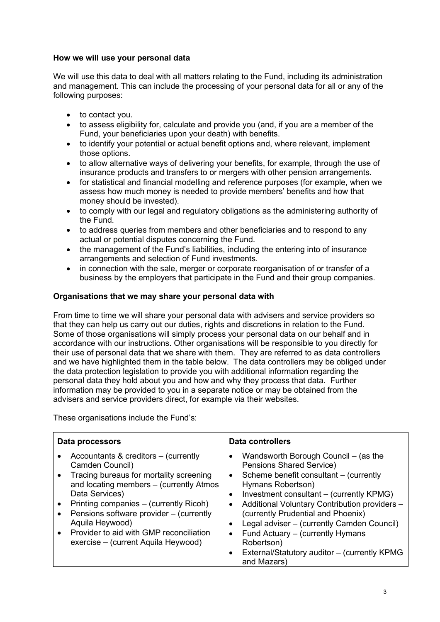## How we will use your personal data

We will use this data to deal with all matters relating to the Fund, including its administration and management. This can include the processing of your personal data for all or any of the following purposes:

- to contact you.
- to assess eligibility for, calculate and provide you (and, if you are a member of the Fund, your beneficiaries upon your death) with benefits.
- to identify your potential or actual benefit options and, where relevant, implement those options.
- to allow alternative ways of delivering your benefits, for example, through the use of insurance products and transfers to or mergers with other pension arrangements.
- for statistical and financial modelling and reference purposes (for example, when we assess how much money is needed to provide members' benefits and how that money should be invested).
- to comply with our legal and regulatory obligations as the administering authority of the Fund.
- to address queries from members and other beneficiaries and to respond to any actual or potential disputes concerning the Fund.
- the management of the Fund's liabilities, including the entering into of insurance arrangements and selection of Fund investments.
- in connection with the sale, merger or corporate reorganisation of or transfer of a business by the employers that participate in the Fund and their group companies.

## Organisations that we may share your personal data with

From time to time we will share your personal data with advisers and service providers so that they can help us carry out our duties, rights and discretions in relation to the Fund. Some of those organisations will simply process your personal data on our behalf and in accordance with our instructions. Other organisations will be responsible to you directly for their use of personal data that we share with them. They are referred to as data controllers and we have highlighted them in the table below. The data controllers may be obliged under the data protection legislation to provide you with additional information regarding the personal data they hold about you and how and why they process that data. Further information may be provided to you in a separate notice or may be obtained from the advisers and service providers direct, for example via their websites.

These organisations include the Fund's:

| Data processors                                                                                                                                                                                                                                                                                                                                                                                                               | Data controllers                                                                                                                                                                                                                                                                                                                                                                                                                                                                                                             |  |
|-------------------------------------------------------------------------------------------------------------------------------------------------------------------------------------------------------------------------------------------------------------------------------------------------------------------------------------------------------------------------------------------------------------------------------|------------------------------------------------------------------------------------------------------------------------------------------------------------------------------------------------------------------------------------------------------------------------------------------------------------------------------------------------------------------------------------------------------------------------------------------------------------------------------------------------------------------------------|--|
| Accountants & creditors $-$ (currently<br>$\bullet$<br>Camden Council)<br>Tracing bureaus for mortality screening<br>$\bullet$<br>and locating members - (currently Atmos)<br>Data Services)<br>Printing companies – (currently Ricoh)<br>$\bullet$<br>Pensions software provider - (currently<br>$\bullet$<br>Aquila Heywood)<br>Provider to aid with GMP reconciliation<br>$\bullet$<br>exercise – (current Aquila Heywood) | Wandsworth Borough Council - (as the<br>$\bullet$<br>Pensions Shared Service)<br>Scheme benefit consultant – (currently<br>$\bullet$<br>Hymans Robertson)<br>Investment consultant – (currently KPMG)<br>$\bullet$<br>Additional Voluntary Contribution providers -<br>$\bullet$<br>(currently Prudential and Phoenix)<br>Legal adviser - (currently Camden Council)<br>$\bullet$<br>Fund Actuary – (currently Hymans<br>$\bullet$<br>Robertson)<br>External/Statutory auditor - (currently KPMG<br>$\bullet$<br>and Mazars) |  |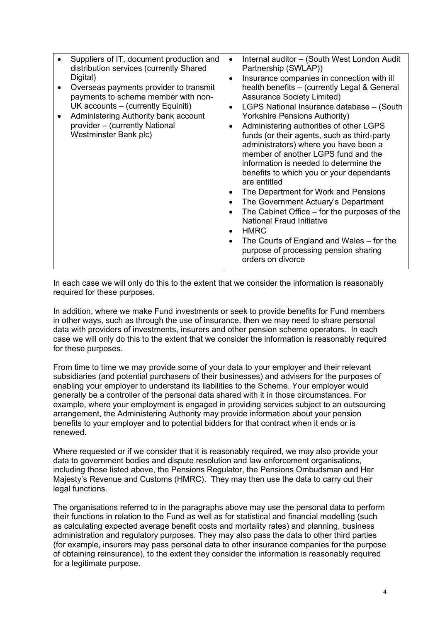|  | Suppliers of IT, document production and<br>distribution services (currently Shared<br>Digital)<br>Overseas payments provider to transmit<br>payments to scheme member with non-<br>UK accounts – (currently Equiniti)<br>Administering Authority bank account<br>provider - (currently National<br>Westminster Bank plc) | $\bullet$<br>$\bullet$<br>$\bullet$<br>$\bullet$<br>٠<br>$\bullet$<br>$\bullet$<br>$\bullet$<br>$\bullet$ | Internal auditor - (South West London Audit<br>Partnership (SWLAP))<br>Insurance companies in connection with ill<br>health benefits - (currently Legal & General<br><b>Assurance Society Limited)</b><br>LGPS National Insurance database - (South<br><b>Yorkshire Pensions Authority)</b><br>Administering authorities of other LGPS<br>funds (or their agents, such as third-party<br>administrators) where you have been a<br>member of another LGPS fund and the<br>information is needed to determine the<br>benefits to which you or your dependants<br>are entitled<br>The Department for Work and Pensions<br>The Government Actuary's Department<br>The Cabinet Office – for the purposes of the<br><b>National Fraud Initiative</b><br><b>HMRC</b><br>The Courts of England and Wales – for the<br>purpose of processing pension sharing<br>orders on divorce |
|--|---------------------------------------------------------------------------------------------------------------------------------------------------------------------------------------------------------------------------------------------------------------------------------------------------------------------------|-----------------------------------------------------------------------------------------------------------|--------------------------------------------------------------------------------------------------------------------------------------------------------------------------------------------------------------------------------------------------------------------------------------------------------------------------------------------------------------------------------------------------------------------------------------------------------------------------------------------------------------------------------------------------------------------------------------------------------------------------------------------------------------------------------------------------------------------------------------------------------------------------------------------------------------------------------------------------------------------------|
|--|---------------------------------------------------------------------------------------------------------------------------------------------------------------------------------------------------------------------------------------------------------------------------------------------------------------------------|-----------------------------------------------------------------------------------------------------------|--------------------------------------------------------------------------------------------------------------------------------------------------------------------------------------------------------------------------------------------------------------------------------------------------------------------------------------------------------------------------------------------------------------------------------------------------------------------------------------------------------------------------------------------------------------------------------------------------------------------------------------------------------------------------------------------------------------------------------------------------------------------------------------------------------------------------------------------------------------------------|

In each case we will only do this to the extent that we consider the information is reasonably required for these purposes.

In addition, where we make Fund investments or seek to provide benefits for Fund members in other ways, such as through the use of insurance, then we may need to share personal data with providers of investments, insurers and other pension scheme operators. In each case we will only do this to the extent that we consider the information is reasonably required for these purposes.

From time to time we may provide some of your data to your employer and their relevant subsidiaries (and potential purchasers of their businesses) and advisers for the purposes of enabling your employer to understand its liabilities to the Scheme. Your employer would generally be a controller of the personal data shared with it in those circumstances. For example, where your employment is engaged in providing services subject to an outsourcing arrangement, the Administering Authority may provide information about your pension benefits to your employer and to potential bidders for that contract when it ends or is renewed.

Where requested or if we consider that it is reasonably required, we may also provide your data to government bodies and dispute resolution and law enforcement organisations, including those listed above, the Pensions Regulator, the Pensions Ombudsman and Her Majesty's Revenue and Customs (HMRC). They may then use the data to carry out their legal functions.

The organisations referred to in the paragraphs above may use the personal data to perform their functions in relation to the Fund as well as for statistical and financial modelling (such as calculating expected average benefit costs and mortality rates) and planning, business administration and regulatory purposes. They may also pass the data to other third parties (for example, insurers may pass personal data to other insurance companies for the purpose of obtaining reinsurance), to the extent they consider the information is reasonably required for a legitimate purpose.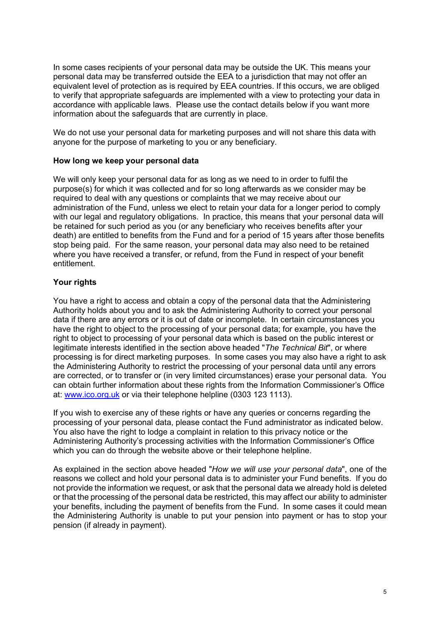In some cases recipients of your personal data may be outside the UK. This means your personal data may be transferred outside the EEA to a jurisdiction that may not offer an equivalent level of protection as is required by EEA countries. If this occurs, we are obliged to verify that appropriate safeguards are implemented with a view to protecting your data in accordance with applicable laws. Please use the contact details below if you want more information about the safeguards that are currently in place.

We do not use your personal data for marketing purposes and will not share this data with anyone for the purpose of marketing to you or any beneficiary.

#### How long we keep your personal data

We will only keep your personal data for as long as we need to in order to fulfil the purpose(s) for which it was collected and for so long afterwards as we consider may be required to deal with any questions or complaints that we may receive about our administration of the Fund, unless we elect to retain your data for a longer period to comply with our legal and regulatory obligations. In practice, this means that your personal data will be retained for such period as you (or any beneficiary who receives benefits after your death) are entitled to benefits from the Fund and for a period of 15 years after those benefits stop being paid. For the same reason, your personal data may also need to be retained where you have received a transfer, or refund, from the Fund in respect of your benefit entitlement.

### Your rights

You have a right to access and obtain a copy of the personal data that the Administering Authority holds about you and to ask the Administering Authority to correct your personal data if there are any errors or it is out of date or incomplete. In certain circumstances you have the right to object to the processing of your personal data; for example, you have the right to object to processing of your personal data which is based on the public interest or legitimate interests identified in the section above headed "The Technical Bit", or where processing is for direct marketing purposes. In some cases you may also have a right to ask the Administering Authority to restrict the processing of your personal data until any errors are corrected, or to transfer or (in very limited circumstances) erase your personal data. You can obtain further information about these rights from the Information Commissioner's Office at: www.ico.org.uk or via their telephone helpline (0303 123 1113).

If you wish to exercise any of these rights or have any queries or concerns regarding the processing of your personal data, please contact the Fund administrator as indicated below. You also have the right to lodge a complaint in relation to this privacy notice or the Administering Authority's processing activities with the Information Commissioner's Office which you can do through the website above or their telephone helpline.

As explained in the section above headed "How we will use your personal data", one of the reasons we collect and hold your personal data is to administer your Fund benefits. If you do not provide the information we request, or ask that the personal data we already hold is deleted or that the processing of the personal data be restricted, this may affect our ability to administer your benefits, including the payment of benefits from the Fund. In some cases it could mean the Administering Authority is unable to put your pension into payment or has to stop your pension (if already in payment).